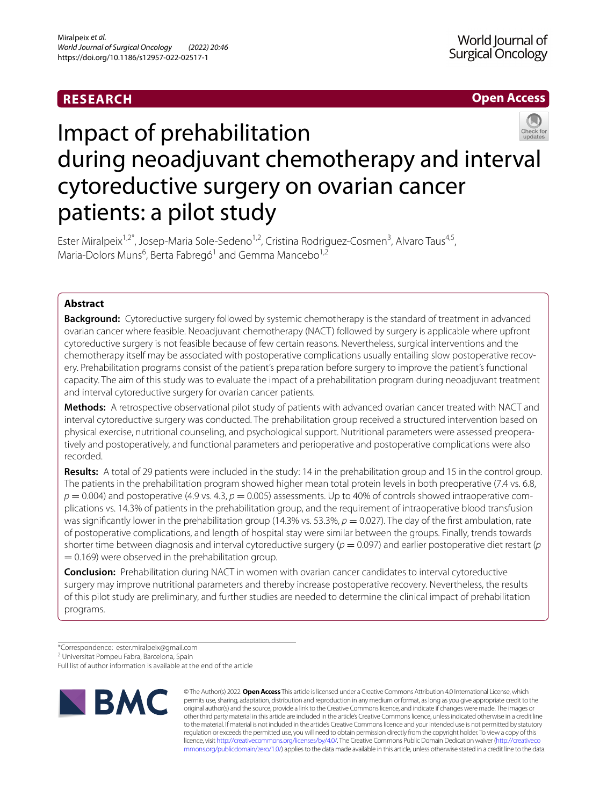# **RESEARCH**

# **Open Access**



# Impact of prehabilitation during neoadjuvant chemotherapy and interval cytoreductive surgery on ovarian cancer patients: a pilot study

Ester Miralpeix<sup>1,2\*</sup>, Josep-Maria Sole-Sedeno<sup>1,2</sup>, Cristina Rodriguez-Cosmen<sup>3</sup>, Alvaro Taus<sup>4,5</sup>, Maria-Dolors Muns<sup>6</sup>, Berta Fabregó<sup>1</sup> and Gemma Mancebo<sup>1,2</sup>

# **Abstract**

**Background:** Cytoreductive surgery followed by systemic chemotherapy is the standard of treatment in advanced ovarian cancer where feasible. Neoadjuvant chemotherapy (NACT) followed by surgery is applicable where upfront cytoreductive surgery is not feasible because of few certain reasons. Nevertheless, surgical interventions and the chemotherapy itself may be associated with postoperative complications usually entailing slow postoperative recovery. Prehabilitation programs consist of the patient's preparation before surgery to improve the patient's functional capacity. The aim of this study was to evaluate the impact of a prehabilitation program during neoadjuvant treatment and interval cytoreductive surgery for ovarian cancer patients.

**Methods:** A retrospective observational pilot study of patients with advanced ovarian cancer treated with NACT and interval cytoreductive surgery was conducted. The prehabilitation group received a structured intervention based on physical exercise, nutritional counseling, and psychological support. Nutritional parameters were assessed preoperatively and postoperatively, and functional parameters and perioperative and postoperative complications were also recorded.

**Results:** A total of 29 patients were included in the study: 14 in the prehabilitation group and 15 in the control group. The patients in the prehabilitation program showed higher mean total protein levels in both preoperative (7.4 vs. 6.8,  $p = 0.004$ ) and postoperative (4.9 vs. 4.3,  $p = 0.005$ ) assessments. Up to 40% of controls showed intraoperative complications vs. 14.3% of patients in the prehabilitation group, and the requirement of intraoperative blood transfusion was significantly lower in the prehabilitation group (14.3% vs. 53.3%,  $p = 0.027$ ). The day of the first ambulation, rate of postoperative complications, and length of hospital stay were similar between the groups. Finally, trends towards shorter time between diagnosis and interval cytoreductive surgery  $(p = 0.097)$  and earlier postoperative diet restart  $(p$  $= 0.169$ ) were observed in the prehabilitation group.

**Conclusion:** Prehabilitation during NACT in women with ovarian cancer candidates to interval cytoreductive surgery may improve nutritional parameters and thereby increase postoperative recovery. Nevertheless, the results of this pilot study are preliminary, and further studies are needed to determine the clinical impact of prehabilitation programs.

\*Correspondence: ester.miralpeix@gmail.com

Full list of author information is available at the end of the article



© The Author(s) 2022. **Open Access** This article is licensed under a Creative Commons Attribution 4.0 International License, which permits use, sharing, adaptation, distribution and reproduction in any medium or format, as long as you give appropriate credit to the original author(s) and the source, provide a link to the Creative Commons licence, and indicate if changes were made. The images or other third party material in this article are included in the article's Creative Commons licence, unless indicated otherwise in a credit line to the material. If material is not included in the article's Creative Commons licence and your intended use is not permitted by statutory regulation or exceeds the permitted use, you will need to obtain permission directly from the copyright holder. To view a copy of this licence, visit [http://creativecommons.org/licenses/by/4.0/.](http://creativecommons.org/licenses/by/4.0/) The Creative Commons Public Domain Dedication waiver ([http://creativeco](http://creativecommons.org/publicdomain/zero/1.0/) [mmons.org/publicdomain/zero/1.0/](http://creativecommons.org/publicdomain/zero/1.0/)) applies to the data made available in this article, unless otherwise stated in a credit line to the data.

<sup>&</sup>lt;sup>2</sup> Universitat Pompeu Fabra, Barcelona, Spain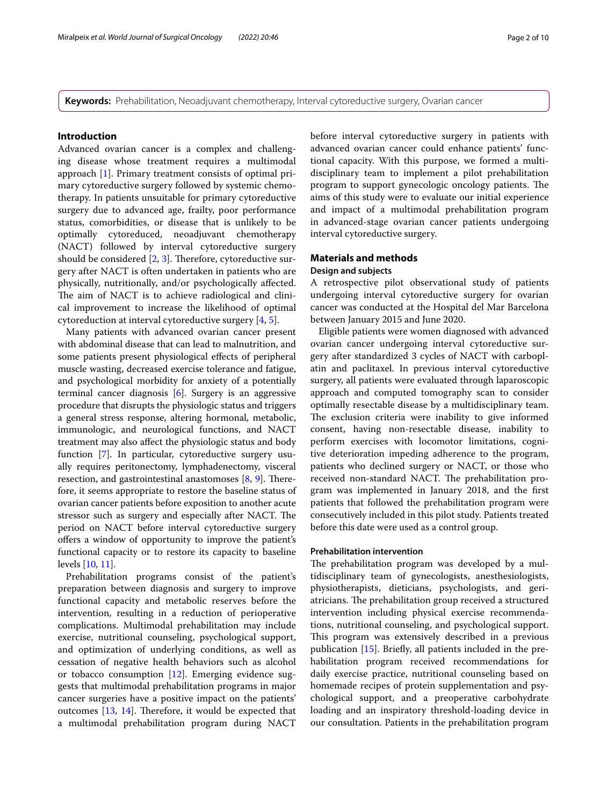**Keywords:** Prehabilitation, Neoadjuvant chemotherapy, Interval cytoreductive surgery, Ovarian cancer

## **Introduction**

Advanced ovarian cancer is a complex and challenging disease whose treatment requires a multimodal approach [[1\]](#page-7-0). Primary treatment consists of optimal primary cytoreductive surgery followed by systemic chemotherapy. In patients unsuitable for primary cytoreductive surgery due to advanced age, frailty, poor performance status, comorbidities, or disease that is unlikely to be optimally cytoreduced, neoadjuvant chemotherapy (NACT) followed by interval cytoreductive surgery should be considered  $[2, 3]$  $[2, 3]$  $[2, 3]$ . Therefore, cytoreductive surgery after NACT is often undertaken in patients who are physically, nutritionally, and/or psychologically afected. The aim of NACT is to achieve radiological and clinical improvement to increase the likelihood of optimal cytoreduction at interval cytoreductive surgery [\[4](#page-8-1), [5\]](#page-8-2).

Many patients with advanced ovarian cancer present with abdominal disease that can lead to malnutrition, and some patients present physiological efects of peripheral muscle wasting, decreased exercise tolerance and fatigue, and psychological morbidity for anxiety of a potentially terminal cancer diagnosis [[6\]](#page-8-3). Surgery is an aggressive procedure that disrupts the physiologic status and triggers a general stress response, altering hormonal, metabolic, immunologic, and neurological functions, and NACT treatment may also afect the physiologic status and body function [[7\]](#page-8-4). In particular, cytoreductive surgery usually requires peritonectomy, lymphadenectomy, visceral resection, and gastrointestinal anastomoses  $[8, 9]$  $[8, 9]$  $[8, 9]$  $[8, 9]$ . Therefore, it seems appropriate to restore the baseline status of ovarian cancer patients before exposition to another acute stressor such as surgery and especially after NACT. The period on NACT before interval cytoreductive surgery ofers a window of opportunity to improve the patient's functional capacity or to restore its capacity to baseline levels [\[10](#page-8-7), [11](#page-8-8)].

Prehabilitation programs consist of the patient's preparation between diagnosis and surgery to improve functional capacity and metabolic reserves before the intervention, resulting in a reduction of perioperative complications. Multimodal prehabilitation may include exercise, nutritional counseling, psychological support, and optimization of underlying conditions, as well as cessation of negative health behaviors such as alcohol or tobacco consumption [[12](#page-8-9)]. Emerging evidence suggests that multimodal prehabilitation programs in major cancer surgeries have a positive impact on the patients' outcomes  $[13, 14]$  $[13, 14]$  $[13, 14]$ . Therefore, it would be expected that a multimodal prehabilitation program during NACT before interval cytoreductive surgery in patients with advanced ovarian cancer could enhance patients' functional capacity. With this purpose, we formed a multidisciplinary team to implement a pilot prehabilitation program to support gynecologic oncology patients. The aims of this study were to evaluate our initial experience and impact of a multimodal prehabilitation program in advanced-stage ovarian cancer patients undergoing interval cytoreductive surgery.

# **Materials and methods**

# **Design and subjects**

A retrospective pilot observational study of patients undergoing interval cytoreductive surgery for ovarian cancer was conducted at the Hospital del Mar Barcelona between January 2015 and June 2020.

Eligible patients were women diagnosed with advanced ovarian cancer undergoing interval cytoreductive surgery after standardized 3 cycles of NACT with carboplatin and paclitaxel. In previous interval cytoreductive surgery, all patients were evaluated through laparoscopic approach and computed tomography scan to consider optimally resectable disease by a multidisciplinary team. The exclusion criteria were inability to give informed consent, having non-resectable disease, inability to perform exercises with locomotor limitations, cognitive deterioration impeding adherence to the program, patients who declined surgery or NACT, or those who received non-standard NACT. The prehabilitation program was implemented in January 2018, and the frst patients that followed the prehabilitation program were consecutively included in this pilot study. Patients treated before this date were used as a control group.

#### **Prehabilitation intervention**

The prehabilitation program was developed by a multidisciplinary team of gynecologists, anesthesiologists, physiotherapists, dieticians, psychologists, and geriatricians. The prehabilitation group received a structured intervention including physical exercise recommendations, nutritional counseling, and psychological support. This program was extensively described in a previous publication [\[15](#page-8-12)]. Briefy, all patients included in the prehabilitation program received recommendations for daily exercise practice, nutritional counseling based on homemade recipes of protein supplementation and psychological support, and a preoperative carbohydrate loading and an inspiratory threshold-loading device in our consultation. Patients in the prehabilitation program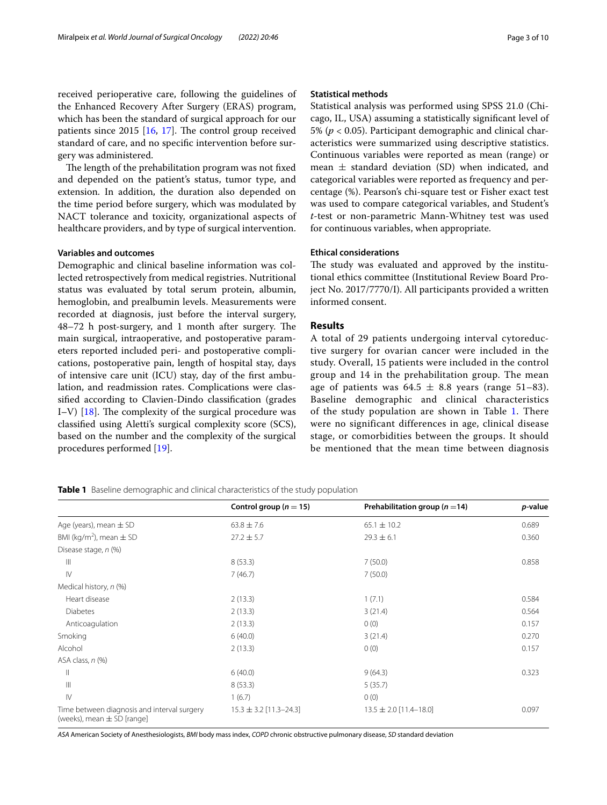received perioperative care, following the guidelines of the Enhanced Recovery After Surgery (ERAS) program, which has been the standard of surgical approach for our patients since  $2015$  [[16,](#page-8-13) [17](#page-8-14)]. The control group received standard of care, and no specifc intervention before surgery was administered.

The length of the prehabilitation program was not fixed and depended on the patient's status, tumor type, and extension. In addition, the duration also depended on the time period before surgery, which was modulated by NACT tolerance and toxicity, organizational aspects of healthcare providers, and by type of surgical intervention.

#### **Variables and outcomes**

Demographic and clinical baseline information was collected retrospectively from medical registries. Nutritional status was evaluated by total serum protein, albumin, hemoglobin, and prealbumin levels. Measurements were recorded at diagnosis, just before the interval surgery, 48–72 h post-surgery, and 1 month after surgery. The main surgical, intraoperative, and postoperative parameters reported included peri- and postoperative complications, postoperative pain, length of hospital stay, days of intensive care unit (ICU) stay, day of the frst ambulation, and readmission rates. Complications were classifed according to Clavien-Dindo classifcation (grades I–V)  $[18]$  $[18]$ . The complexity of the surgical procedure was classifed using Aletti's surgical complexity score (SCS), based on the number and the complexity of the surgical procedures performed [[19\]](#page-8-16).

# **Statistical methods**

Statistical analysis was performed using SPSS 21.0 (Chicago, IL, USA) assuming a statistically signifcant level of 5% (*p* < 0.05). Participant demographic and clinical characteristics were summarized using descriptive statistics. Continuous variables were reported as mean (range) or mean  $\pm$  standard deviation (SD) when indicated, and categorical variables were reported as frequency and percentage (%). Pearson's chi-square test or Fisher exact test was used to compare categorical variables, and Student's *t*-test or non-parametric Mann-Whitney test was used for continuous variables, when appropriate.

## **Ethical considerations**

The study was evaluated and approved by the institutional ethics committee (Institutional Review Board Project No. 2017/7770/I). All participants provided a written informed consent.

# **Results**

A total of 29 patients undergoing interval cytoreductive surgery for ovarian cancer were included in the study. Overall, 15 patients were included in the control group and 14 in the prehabilitation group. The mean age of patients was  $64.5 \pm 8.8$  years (range 51-83). Baseline demographic and clinical characteristics of the study population are shown in Table [1.](#page-2-0) There were no significant differences in age, clinical disease stage, or comorbidities between the groups. It should be mentioned that the mean time between diagnosis

<span id="page-2-0"></span>**Table 1** Baseline demographic and clinical characteristics of the study population

|                                                                               | Control group ( $n = 15$ ) | Prehabilitation group ( $n = 14$ ) | p-value |
|-------------------------------------------------------------------------------|----------------------------|------------------------------------|---------|
| Age (years), mean $\pm$ SD                                                    | $63.8 \pm 7.6$             | $65.1 \pm 10.2$                    | 0.689   |
| BMI (kg/m <sup>2</sup> ), mean $\pm$ SD                                       | $27.2 \pm 5.7$             | $29.3 \pm 6.1$                     | 0.360   |
| Disease stage, n (%)                                                          |                            |                                    |         |
| $\mathbb{H}$                                                                  | 8(53.3)                    | 7(50.0)                            | 0.858   |
| $\mathsf{IV}$                                                                 | 7(46.7)                    | 7(50.0)                            |         |
| Medical history, n (%)                                                        |                            |                                    |         |
| Heart disease                                                                 | 2(13.3)                    | 1(7.1)                             | 0.584   |
| <b>Diabetes</b>                                                               | 2(13.3)                    | 3(21.4)                            | 0.564   |
| Anticoagulation                                                               | 2(13.3)                    | 0(0)                               | 0.157   |
| Smoking                                                                       | 6(40.0)                    | 3(21.4)                            | 0.270   |
| Alcohol                                                                       | 2(13.3)                    | 0(0)                               | 0.157   |
| ASA class, n (%)                                                              |                            |                                    |         |
| $\mathbb{I}$                                                                  | 6(40.0)                    | 9(64.3)                            | 0.323   |
| $\mathbb{H}$                                                                  | 8(53.3)                    | 5(35.7)                            |         |
| $\mathsf{IV}$                                                                 | 1(6.7)                     | 0(0)                               |         |
| Time between diagnosis and interval surgery<br>(weeks), mean $\pm$ SD [range] | $15.3 \pm 3.2$ [11.3-24.3] | $13.5 \pm 2.0$ [11.4-18.0]         | 0.097   |

*ASA* American Society of Anesthesiologists, *BMI* body mass index, *COPD* chronic obstructive pulmonary disease, *SD* standard deviation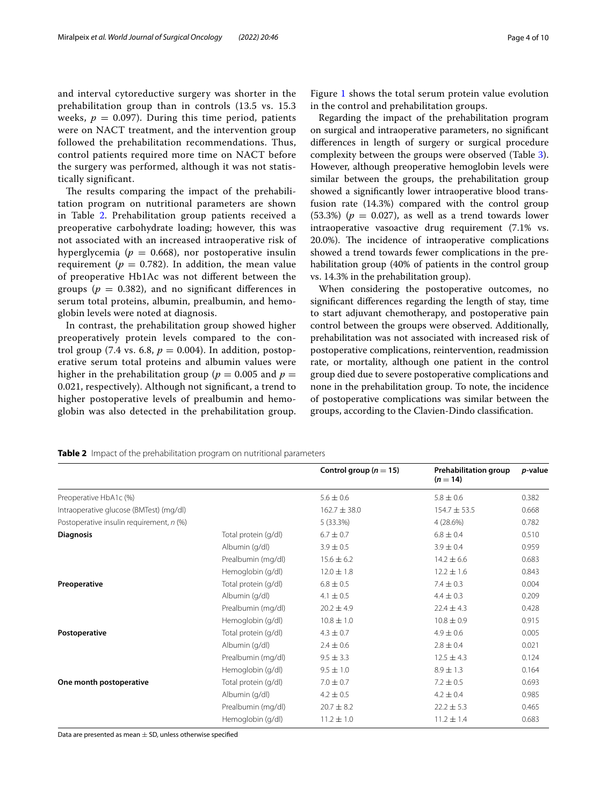and interval cytoreductive surgery was shorter in the prehabilitation group than in controls (13.5 vs. 15.3 weeks,  $p = 0.097$ ). During this time period, patients were on NACT treatment, and the intervention group followed the prehabilitation recommendations. Thus, control patients required more time on NACT before the surgery was performed, although it was not statistically significant.

The results comparing the impact of the prehabilitation program on nutritional parameters are shown in Table [2.](#page-3-0) Prehabilitation group patients received a preoperative carbohydrate loading; however, this was not associated with an increased intraoperative risk of hyperglycemia ( $p = 0.668$ ), nor postoperative insulin requirement ( $p = 0.782$ ). In addition, the mean value of preoperative Hb1Ac was not diferent between the groups ( $p = 0.382$ ), and no significant differences in serum total proteins, albumin, prealbumin, and hemoglobin levels were noted at diagnosis.

In contrast, the prehabilitation group showed higher preoperatively protein levels compared to the control group (7.4 vs. 6.8,  $p = 0.004$ ). In addition, postoperative serum total proteins and albumin values were higher in the prehabilitation group ( $p = 0.005$  and  $p =$ 0.021, respectively). Although not signifcant, a trend to higher postoperative levels of prealbumin and hemoglobin was also detected in the prehabilitation group.

Regarding the impact of the prehabilitation program on surgical and intraoperative parameters, no signifcant diferences in length of surgery or surgical procedure complexity between the groups were observed (Table [3](#page-4-1)). However, although preoperative hemoglobin levels were similar between the groups, the prehabilitation group showed a signifcantly lower intraoperative blood transfusion rate (14.3%) compared with the control group (53.3%) ( $p = 0.027$ ), as well as a trend towards lower intraoperative vasoactive drug requirement (7.1% vs. 20.0%). The incidence of intraoperative complications showed a trend towards fewer complications in the prehabilitation group (40% of patients in the control group vs. 14.3% in the prehabilitation group).

When considering the postoperative outcomes, no signifcant diferences regarding the length of stay, time to start adjuvant chemotherapy, and postoperative pain control between the groups were observed. Additionally, prehabilitation was not associated with increased risk of postoperative complications, reintervention, readmission rate, or mortality, although one patient in the control group died due to severe postoperative complications and none in the prehabilitation group. To note, the incidence of postoperative complications was similar between the groups, according to the Clavien-Dindo classifcation.

<span id="page-3-0"></span>**Table 2** Impact of the prehabilitation program on nutritional parameters

|                                          |                      | Control group ( $n = 15$ ) | <b>Prehabilitation group</b><br>$(n = 14)$ | <i>p</i> -value |
|------------------------------------------|----------------------|----------------------------|--------------------------------------------|-----------------|
| Preoperative HbA1c (%)                   |                      | $5.6 \pm 0.6$              | $5.8 \pm 0.6$                              | 0.382           |
| Intraoperative glucose (BMTest) (mg/dl)  |                      | $162.7 \pm 38.0$           | $154.7 \pm 53.5$                           | 0.668           |
| Postoperative insulin requirement, n (%) |                      | 5(33.3%)                   | 4 (28.6%)                                  | 0.782           |
| <b>Diagnosis</b>                         | Total protein (g/dl) | $6.7 \pm 0.7$              | $6.8 \pm 0.4$                              | 0.510           |
|                                          | Albumin (g/dl)       | $3.9 \pm 0.5$              | $3.9 \pm 0.4$                              | 0.959           |
|                                          | Prealbumin (mg/dl)   | $15.6 \pm 6.2$             | $14.2 \pm 6.6$                             | 0.683           |
|                                          | Hemoglobin (g/dl)    | $12.0 \pm 1.8$             | $12.2 \pm 1.6$                             | 0.843           |
| Preoperative                             | Total protein (g/dl) | $6.8 \pm 0.5$              | $7.4 \pm 0.3$                              | 0.004           |
|                                          | Albumin (g/dl)       | $4.1 \pm 0.5$              | $4.4 \pm 0.3$                              | 0.209           |
|                                          | Prealbumin (mg/dl)   | $20.2 \pm 4.9$             | $22.4 \pm 4.3$                             | 0.428           |
|                                          | Hemoglobin (g/dl)    | $10.8 \pm 1.0$             | $10.8 \pm 0.9$                             | 0.915           |
| Postoperative                            | Total protein (g/dl) | $4.3 \pm 0.7$              | $4.9 \pm 0.6$                              | 0.005           |
|                                          | Albumin (g/dl)       | $2.4 \pm 0.6$              | $2.8 \pm 0.4$                              | 0.021           |
|                                          | Prealbumin (mg/dl)   | $9.5 \pm 3.3$              | $12.5 \pm 4.3$                             | 0.124           |
|                                          | Hemoglobin (g/dl)    | $9.5 \pm 1.0$              | $8.9 \pm 1.3$                              | 0.164           |
| One month postoperative                  | Total protein (g/dl) | $7.0 \pm 0.7$              | $7.2 \pm 0.5$                              | 0.693           |
|                                          | Albumin (g/dl)       | $4.2 \pm 0.5$              | $4.2 \pm 0.4$                              | 0.985           |
|                                          | Prealbumin (mg/dl)   | $20.7 \pm 8.2$             | $22.2 \pm 5.3$                             | 0.465           |
|                                          | Hemoglobin (g/dl)    | $11.2 \pm 1.0$             | $11.2 \pm 1.4$                             | 0.683           |

Data are presented as mean  $\pm$  SD, unless otherwise specified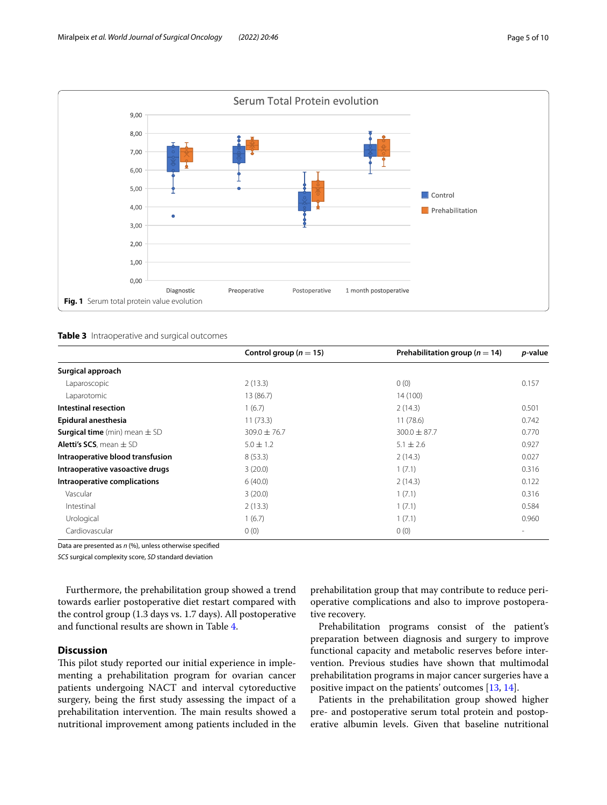

<span id="page-4-1"></span><span id="page-4-0"></span>

|  | <b>Table 3</b> Intraoperative and surgical outcomes |  |  |
|--|-----------------------------------------------------|--|--|
|--|-----------------------------------------------------|--|--|

|                                          | Control group ( $n = 15$ ) | Prehabilitation group ( $n = 14$ ) | p-value |
|------------------------------------------|----------------------------|------------------------------------|---------|
| Surgical approach                        |                            |                                    |         |
| Laparoscopic                             | 2(13.3)                    | 0(0)                               | 0.157   |
| Laparotomic                              | 13 (86.7)                  | 14 (100)                           |         |
| Intestinal resection                     | 1(6.7)                     | 2(14.3)                            | 0.501   |
| Epidural anesthesia                      | 11(73.3)                   | 11(78.6)                           | 0.742   |
| <b>Surgical time</b> (min) mean $\pm$ SD | $309.0 \pm 76.7$           | $300.0 \pm 87.7$                   | 0.770   |
| <b>Aletti's SCS</b> , mean $\pm$ SD      | $5.0 \pm 1.2$              | $5.1 \pm 2.6$                      | 0.927   |
| Intraoperative blood transfusion         | 8(53.3)                    | 2(14.3)                            | 0.027   |
| Intraoperative vasoactive drugs          | 3(20.0)                    | 1(7.1)                             | 0.316   |
| Intraoperative complications             | 6(40.0)                    | 2(14.3)                            | 0.122   |
| Vascular                                 | 3(20.0)                    | 1(7.1)                             | 0.316   |
| Intestinal                               | 2(13.3)                    | 1(7.1)                             | 0.584   |
| Urological                               | 1(6.7)                     | 1(7.1)                             | 0.960   |
| Cardiovascular                           | 0(0)                       | 0(0)                               |         |

Data are presented as *n* (%), unless otherwise specifed

*SCS* surgical complexity score, *SD* standard deviation

Furthermore, the prehabilitation group showed a trend towards earlier postoperative diet restart compared with the control group (1.3 days vs. 1.7 days). All postoperative and functional results are shown in Table [4.](#page-5-0)

# **Discussion**

This pilot study reported our initial experience in implementing a prehabilitation program for ovarian cancer patients undergoing NACT and interval cytoreductive surgery, being the frst study assessing the impact of a prehabilitation intervention. The main results showed a nutritional improvement among patients included in the

prehabilitation group that may contribute to reduce perioperative complications and also to improve postoperative recovery.

Prehabilitation programs consist of the patient's preparation between diagnosis and surgery to improve functional capacity and metabolic reserves before intervention. Previous studies have shown that multimodal prehabilitation programs in major cancer surgeries have a positive impact on the patients' outcomes [[13,](#page-8-10) [14](#page-8-11)].

Patients in the prehabilitation group showed higher pre- and postoperative serum total protein and postoperative albumin levels. Given that baseline nutritional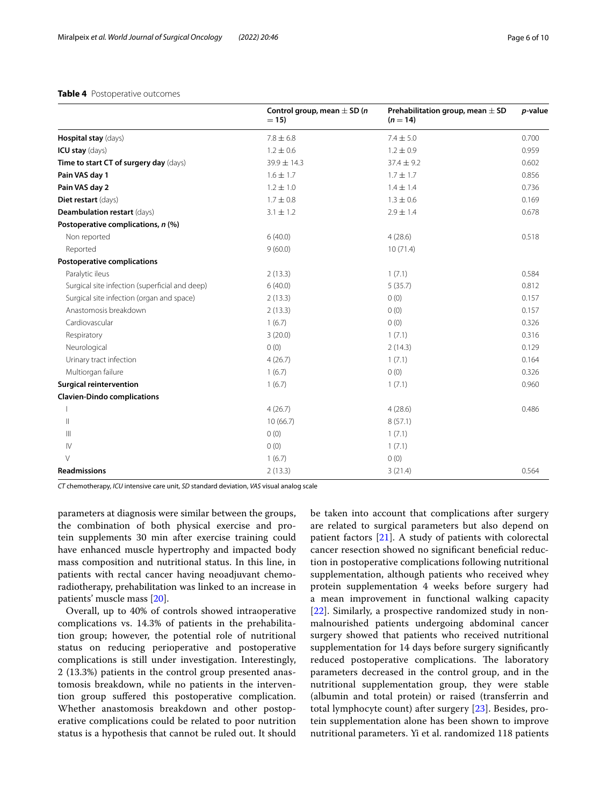## <span id="page-5-0"></span>**Table 4** Postoperative outcomes

|                                                | Control group, mean $\pm$ SD ( <i>n</i><br>$= 15$ | Prehabilitation group, mean $\pm$ SD<br>$(n = 14)$ | p-value |
|------------------------------------------------|---------------------------------------------------|----------------------------------------------------|---------|
| Hospital stay (days)                           | $7.8 \pm 6.8$                                     | $7.4 \pm 5.0$                                      | 0.700   |
| ICU stay (days)                                | $1.2 \pm 0.6$                                     | $1.2 \pm 0.9$                                      | 0.959   |
| Time to start CT of surgery day (days)         | $39.9 \pm 14.3$                                   | $37.4 \pm 9.2$                                     | 0.602   |
| Pain VAS day 1                                 | $1.6 \pm 1.7$                                     | $1.7 \pm 1.7$                                      | 0.856   |
| Pain VAS day 2                                 | $1.2 \pm 1.0$                                     | $1.4 \pm 1.4$                                      | 0.736   |
| Diet restart (days)                            | $1.7 \pm 0.8$                                     | $1.3 \pm 0.6$                                      | 0.169   |
| Deambulation restart (days)                    | $3.1 \pm 1.2$                                     | $2.9 \pm 1.4$                                      | 0.678   |
| Postoperative complications, n (%)             |                                                   |                                                    |         |
| Non reported                                   | 6(40.0)                                           | 4(28.6)                                            | 0.518   |
| Reported                                       | 9(60.0)                                           | 10(71.4)                                           |         |
| <b>Postoperative complications</b>             |                                                   |                                                    |         |
| Paralytic ileus                                | 2(13.3)                                           | 1(7.1)                                             | 0.584   |
| Surgical site infection (superficial and deep) | 6(40.0)                                           | 5(35.7)                                            | 0.812   |
| Surgical site infection (organ and space)      | 2(13.3)                                           | 0(0)                                               | 0.157   |
| Anastomosis breakdown                          | 2(13.3)                                           | 0(0)                                               | 0.157   |
| Cardiovascular                                 | 1(6.7)                                            | 0(0)                                               | 0.326   |
| Respiratory                                    | 3(20.0)                                           | 1(7.1)                                             | 0.316   |
| Neurological                                   | 0(0)                                              | 2(14.3)                                            | 0.129   |
| Urinary tract infection                        | 4(26.7)                                           | 1(7.1)                                             | 0.164   |
| Multiorgan failure                             | 1(6.7)                                            | 0(0)                                               | 0.326   |
| <b>Surgical reintervention</b>                 | 1(6.7)                                            | 1(7.1)                                             | 0.960   |
| <b>Clavien-Dindo complications</b>             |                                                   |                                                    |         |
|                                                | 4(26.7)                                           | 4(28.6)                                            | 0.486   |
| $\mathbb{I}$                                   | 10(66.7)                                          | 8(57.1)                                            |         |
| $\mathbb{H}$                                   | 0(0)                                              | 1(7.1)                                             |         |
| $\mathsf{IV}$                                  | 0(0)                                              | 1(7.1)                                             |         |
| $\vee$                                         | 1(6.7)                                            | 0(0)                                               |         |
| <b>Readmissions</b>                            | 2(13.3)                                           | 3(21.4)                                            | 0.564   |

*CT* chemotherapy, *ICU* intensive care unit, *SD* standard deviation, *VAS* visual analog scale

parameters at diagnosis were similar between the groups, the combination of both physical exercise and protein supplements 30 min after exercise training could have enhanced muscle hypertrophy and impacted body mass composition and nutritional status. In this line, in patients with rectal cancer having neoadjuvant chemoradiotherapy, prehabilitation was linked to an increase in patients' muscle mass [[20](#page-8-17)].

Overall, up to 40% of controls showed intraoperative complications vs. 14.3% of patients in the prehabilitation group; however, the potential role of nutritional status on reducing perioperative and postoperative complications is still under investigation. Interestingly, 2 (13.3%) patients in the control group presented anastomosis breakdown, while no patients in the intervention group sufered this postoperative complication. Whether anastomosis breakdown and other postoperative complications could be related to poor nutrition status is a hypothesis that cannot be ruled out. It should be taken into account that complications after surgery are related to surgical parameters but also depend on patient factors [\[21](#page-8-18)]. A study of patients with colorectal cancer resection showed no signifcant benefcial reduction in postoperative complications following nutritional supplementation, although patients who received whey protein supplementation 4 weeks before surgery had a mean improvement in functional walking capacity [[22\]](#page-8-19). Similarly, a prospective randomized study in nonmalnourished patients undergoing abdominal cancer surgery showed that patients who received nutritional supplementation for 14 days before surgery signifcantly reduced postoperative complications. The laboratory parameters decreased in the control group, and in the nutritional supplementation group, they were stable (albumin and total protein) or raised (transferrin and total lymphocyte count) after surgery [\[23](#page-8-20)]. Besides, protein supplementation alone has been shown to improve nutritional parameters. Yi et al. randomized 118 patients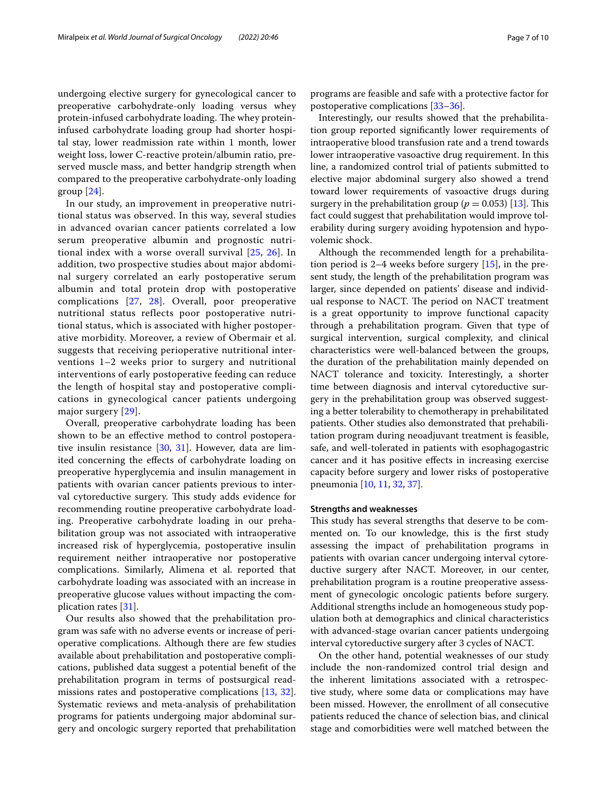undergoing elective surgery for gynecological cancer to preoperative carbohydrate-only loading versus whey protein-infused carbohydrate loading. The whey proteininfused carbohydrate loading group had shorter hospital stay, lower readmission rate within 1 month, lower weight loss, lower C-reactive protein/albumin ratio, preserved muscle mass, and better handgrip strength when compared to the preoperative carbohydrate-only loading group [[24\]](#page-8-21).

In our study, an improvement in preoperative nutritional status was observed. In this way, several studies in advanced ovarian cancer patients correlated a low serum preoperative albumin and prognostic nutritional index with a worse overall survival [[25,](#page-8-22) [26](#page-8-23)]. In addition, two prospective studies about major abdominal surgery correlated an early postoperative serum albumin and total protein drop with postoperative complications [[27,](#page-8-24) [28](#page-8-25)]. Overall, poor preoperative nutritional status reflects poor postoperative nutritional status, which is associated with higher postoperative morbidity. Moreover, a review of Obermair et al. suggests that receiving perioperative nutritional interventions 1–2 weeks prior to surgery and nutritional interventions of early postoperative feeding can reduce the length of hospital stay and postoperative complications in gynecological cancer patients undergoing major surgery [[29](#page-8-26)].

Overall, preoperative carbohydrate loading has been shown to be an efective method to control postoperative insulin resistance [\[30](#page-8-27), [31](#page-8-28)]. However, data are limited concerning the efects of carbohydrate loading on preoperative hyperglycemia and insulin management in patients with ovarian cancer patients previous to interval cytoreductive surgery. This study adds evidence for recommending routine preoperative carbohydrate loading. Preoperative carbohydrate loading in our prehabilitation group was not associated with intraoperative increased risk of hyperglycemia, postoperative insulin requirement neither intraoperative nor postoperative complications. Similarly, Alimena et al. reported that carbohydrate loading was associated with an increase in preoperative glucose values without impacting the complication rates [[31\]](#page-8-28).

Our results also showed that the prehabilitation program was safe with no adverse events or increase of perioperative complications. Although there are few studies available about prehabilitation and postoperative complications, published data suggest a potential beneft of the prehabilitation program in terms of postsurgical readmissions rates and postoperative complications [[13,](#page-8-10) [32](#page-8-29)]. Systematic reviews and meta-analysis of prehabilitation programs for patients undergoing major abdominal surgery and oncologic surgery reported that prehabilitation programs are feasible and safe with a protective factor for postoperative complications [\[33](#page-8-30)[–36](#page-9-0)].

Interestingly, our results showed that the prehabilitation group reported signifcantly lower requirements of intraoperative blood transfusion rate and a trend towards lower intraoperative vasoactive drug requirement. In this line, a randomized control trial of patients submitted to elective major abdominal surgery also showed a trend toward lower requirements of vasoactive drugs during surgery in the prehabilitation group ( $p = 0.053$ ) [[13](#page-8-10)]. This fact could suggest that prehabilitation would improve tolerability during surgery avoiding hypotension and hypovolemic shock.

Although the recommended length for a prehabilitation period is 2–4 weeks before surgery [\[15\]](#page-8-12), in the present study, the length of the prehabilitation program was larger, since depended on patients' disease and individual response to NACT. The period on NACT treatment is a great opportunity to improve functional capacity through a prehabilitation program. Given that type of surgical intervention, surgical complexity, and clinical characteristics were well-balanced between the groups, the duration of the prehabilitation mainly depended on NACT tolerance and toxicity. Interestingly, a shorter time between diagnosis and interval cytoreductive surgery in the prehabilitation group was observed suggesting a better tolerability to chemotherapy in prehabilitated patients. Other studies also demonstrated that prehabilitation program during neoadjuvant treatment is feasible, safe, and well-tolerated in patients with esophagogastric cancer and it has positive efects in increasing exercise capacity before surgery and lower risks of postoperative pneumonia [[10,](#page-8-7) [11,](#page-8-8) [32](#page-8-29), [37\]](#page-9-1).

### **Strengths and weaknesses**

This study has several strengths that deserve to be commented on. To our knowledge, this is the frst study assessing the impact of prehabilitation programs in patients with ovarian cancer undergoing interval cytoreductive surgery after NACT. Moreover, in our center, prehabilitation program is a routine preoperative assessment of gynecologic oncologic patients before surgery. Additional strengths include an homogeneous study population both at demographics and clinical characteristics with advanced-stage ovarian cancer patients undergoing interval cytoreductive surgery after 3 cycles of NACT.

On the other hand, potential weaknesses of our study include the non-randomized control trial design and the inherent limitations associated with a retrospective study, where some data or complications may have been missed. However, the enrollment of all consecutive patients reduced the chance of selection bias, and clinical stage and comorbidities were well matched between the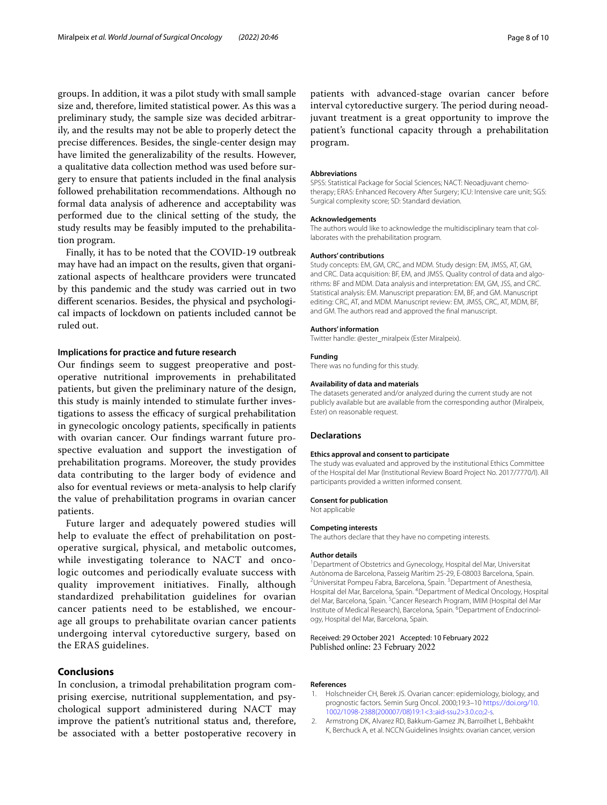groups. In addition, it was a pilot study with small sample size and, therefore, limited statistical power. As this was a preliminary study, the sample size was decided arbitrarily, and the results may not be able to properly detect the precise diferences. Besides, the single-center design may have limited the generalizability of the results. However, a qualitative data collection method was used before surgery to ensure that patients included in the fnal analysis followed prehabilitation recommendations. Although no formal data analysis of adherence and acceptability was performed due to the clinical setting of the study, the study results may be feasibly imputed to the prehabilitation program.

Finally, it has to be noted that the COVID-19 outbreak may have had an impact on the results, given that organizational aspects of healthcare providers were truncated by this pandemic and the study was carried out in two diferent scenarios. Besides, the physical and psychological impacts of lockdown on patients included cannot be ruled out.

#### **Implications for practice and future research**

Our fndings seem to suggest preoperative and postoperative nutritional improvements in prehabilitated patients, but given the preliminary nature of the design, this study is mainly intended to stimulate further investigations to assess the efficacy of surgical prehabilitation in gynecologic oncology patients, specifcally in patients with ovarian cancer. Our fndings warrant future prospective evaluation and support the investigation of prehabilitation programs. Moreover, the study provides data contributing to the larger body of evidence and also for eventual reviews or meta-analysis to help clarify the value of prehabilitation programs in ovarian cancer patients.

Future larger and adequately powered studies will help to evaluate the effect of prehabilitation on postoperative surgical, physical, and metabolic outcomes, while investigating tolerance to NACT and oncologic outcomes and periodically evaluate success with quality improvement initiatives. Finally, although standardized prehabilitation guidelines for ovarian cancer patients need to be established, we encourage all groups to prehabilitate ovarian cancer patients undergoing interval cytoreductive surgery, based on the ERAS guidelines.

# **Conclusions**

In conclusion, a trimodal prehabilitation program comprising exercise, nutritional supplementation, and psychological support administered during NACT may improve the patient's nutritional status and, therefore, be associated with a better postoperative recovery in

patients with advanced-stage ovarian cancer before interval cytoreductive surgery. The period during neoadjuvant treatment is a great opportunity to improve the patient's functional capacity through a prehabilitation program.

#### **Abbreviations**

SPSS: Statistical Package for Social Sciences; NACT: Neoadjuvant chemotherapy; ERAS: Enhanced Recovery After Surgery; ICU: Intensive care unit; SGS: Surgical complexity score; SD: Standard deviation.

#### **Acknowledgements**

The authors would like to acknowledge the multidisciplinary team that collaborates with the prehabilitation program.

#### **Authors' contributions**

Study concepts: EM, GM, CRC, and MDM. Study design: EM, JMSS, AT, GM, and CRC. Data acquisition: BF, EM, and JMSS. Quality control of data and algorithms: BF and MDM. Data analysis and interpretation: EM, GM, JSS, and CRC. Statistical analysis: EM. Manuscript preparation: EM, BF, and GM. Manuscript editing: CRC, AT, and MDM. Manuscript review: EM, JMSS, CRC, AT, MDM, BF, and GM. The authors read and approved the fnal manuscript.

#### **Authors' information**

Twitter handle: @ester\_miralpeix (Ester Miralpeix).

#### **Funding**

There was no funding for this study.

#### **Availability of data and materials**

The datasets generated and/or analyzed during the current study are not publicly available but are available from the corresponding author (Miralpeix, Ester) on reasonable request.

#### **Declarations**

#### **Ethics approval and consent to participate**

The study was evaluated and approved by the institutional Ethics Committee of the Hospital del Mar (Institutional Review Board Project No. 2017/7770/I). All participants provided a written informed consent.

#### **Consent for publication**

Not applicable

#### **Competing interests**

The authors declare that they have no competing interests.

#### **Author details**

1 Department of Obstetrics and Gynecology, Hospital del Mar, Universitat Autònoma de Barcelona, Passeig Marítim 25‑29, E‑08003 Barcelona, Spain. 2 Universitat Pompeu Fabra, Barcelona, Spain. <sup>3</sup> Department of Anesthesia, Hospital del Mar, Barcelona, Spain. <sup>4</sup> Department of Medical Oncology, Hospital del Mar, Barcelona, Spain. <sup>5</sup> Cancer Research Program, IMIM (Hospital del Mar Institute of Medical Research), Barcelona, Spain. <sup>6</sup>Department of Endocrinology, Hospital del Mar, Barcelona, Spain.

#### Received: 29 October 2021 Accepted: 10 February 2022 Published online: 23 February 2022

#### **References**

- <span id="page-7-0"></span>1. Holschneider CH, Berek JS. Ovarian cancer: epidemiology, biology, and prognostic factors. Semin Surg Oncol. 2000;19:3–10 [https://doi.org/10.](https://doi.org/10.1002/1098-2388(200007/08)19:1%3c3::aid-ssu2%3e3.0.co;2-s) [1002/1098-2388\(200007/08\)19:1<3::aid-ssu2>3.0.co;2-s.](https://doi.org/10.1002/1098-2388(200007/08)19:1%3c3::aid-ssu2%3e3.0.co;2-s)
- <span id="page-7-1"></span>2. Armstrong DK, Alvarez RD, Bakkum-Gamez JN, Barroilhet L, Behbakht K, Berchuck A, et al. NCCN Guidelines Insights: ovarian cancer, version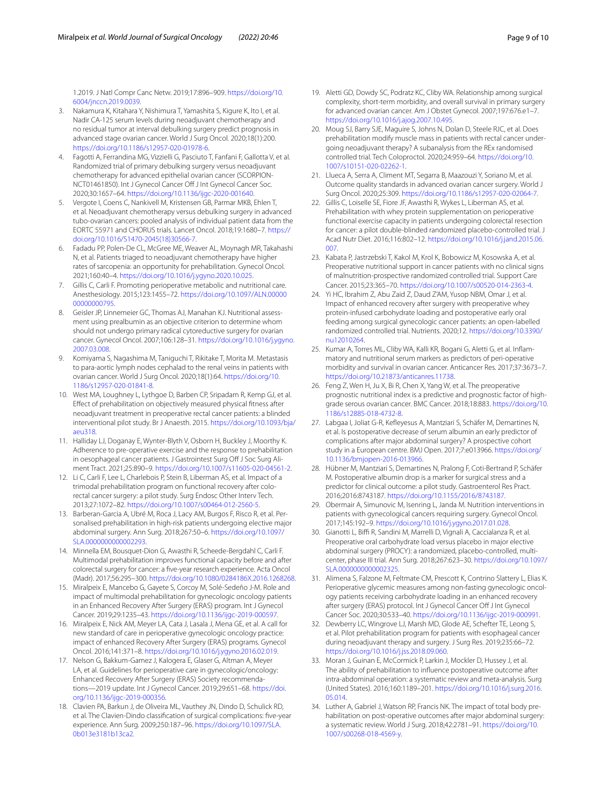1.2019. J Natl Compr Canc Netw. 2019;17:896–909. [https://doi.org/10.](https://doi.org/10.6004/jnccn.2019.0039) [6004/jnccn.2019.0039](https://doi.org/10.6004/jnccn.2019.0039).

- <span id="page-8-0"></span>3. Nakamura K, Kitahara Y, Nishimura T, Yamashita S, Kigure K, Ito I, et al. Nadir CA-125 serum levels during neoadjuvant chemotherapy and no residual tumor at interval debulking surgery predict prognosis in advanced stage ovarian cancer. World J Surg Oncol. 2020;18(1):200. <https://doi.org/10.1186/s12957-020-01978-6>.
- <span id="page-8-1"></span>4. Fagotti A, Ferrandina MG, Vizzielli G, Pasciuto T, Fanfani F, Gallotta V, et al. Randomized trial of primary debulking surgery versus neoadjuvant chemotherapy for advanced epithelial ovarian cancer (SCORPION-NCT01461850). Int J Gynecol Cancer Off J Int Gynecol Cancer Soc. 2020;30:1657–64. <https://doi.org/10.1136/ijgc-2020-001640>.
- <span id="page-8-2"></span>5. Vergote I, Coens C, Nankivell M, Kristensen GB, Parmar MKB, Ehlen T, et al. Neoadjuvant chemotherapy versus debulking surgery in advanced tubo-ovarian cancers: pooled analysis of individual patient data from the EORTC 55971 and CHORUS trials. Lancet Oncol. 2018;19:1680–7. [https://](https://doi.org/10.1016/S1470-2045(18)30566-7) [doi.org/10.1016/S1470-2045\(18\)30566-7.](https://doi.org/10.1016/S1470-2045(18)30566-7)
- <span id="page-8-3"></span>6. Fadadu PP, Polen-De CL, McGree ME, Weaver AL, Moynagh MR, Takahashi N, et al. Patients triaged to neoadjuvant chemotherapy have higher rates of sarcopenia: an opportunity for prehabilitation. Gynecol Oncol. 2021;160:40–4. [https://doi.org/10.1016/j.ygyno.2020.10.025.](https://doi.org/10.1016/j.ygyno.2020.10.025)
- <span id="page-8-4"></span>7. Gillis C, Carli F. Promoting perioperative metabolic and nutritional care. Anesthesiology. 2015;123:1455–72. [https://doi.org/10.1097/ALN.00000](https://doi.org/10.1097/ALN.0000000000000795) [00000000795.](https://doi.org/10.1097/ALN.0000000000000795)
- <span id="page-8-5"></span>8. Geisler JP, Linnemeier GC, Thomas AJ, Manahan KJ. Nutritional assessment using prealbumin as an objective criterion to determine whom should not undergo primary radical cytoreductive surgery for ovarian cancer. Gynecol Oncol. 2007;106:128–31. [https://doi.org/10.1016/j.ygyno.](https://doi.org/10.1016/j.ygyno.2007.03.008) [2007.03.008](https://doi.org/10.1016/j.ygyno.2007.03.008).
- <span id="page-8-6"></span>9. Komiyama S, Nagashima M, Taniguchi T, Rikitake T, Morita M. Metastasis to para-aortic lymph nodes cephalad to the renal veins in patients with ovarian cancer. World J Surg Oncol. 2020;18(1):64. [https://doi.org/10.](https://doi.org/10.1186/s12957-020-01841-8) [1186/s12957-020-01841-8.](https://doi.org/10.1186/s12957-020-01841-8)
- <span id="page-8-7"></span>10. West MA, Loughney L, Lythgoe D, Barben CP, Sripadam R, Kemp GJ, et al. Efect of prehabilitation on objectively measured physical ftness after neoadjuvant treatment in preoperative rectal cancer patients: a blinded interventional pilot study. Br J Anaesth. 2015. [https://doi.org/10.1093/bja/](https://doi.org/10.1093/bja/aeu318) [aeu318.](https://doi.org/10.1093/bja/aeu318)
- <span id="page-8-8"></span>11. Halliday LJ, Doganay E, Wynter-Blyth V, Osborn H, Buckley J, Moorthy K. Adherence to pre-operative exercise and the response to prehabilitation in oesophageal cancer patients. J Gastrointest Surg Off J Soc Surg Aliment Tract. 2021;25:890–9. <https://doi.org/10.1007/s11605-020-04561-2>.
- <span id="page-8-9"></span>12. Li C, Carli F, Lee L, Charlebois P, Stein B, Liberman AS, et al. Impact of a trimodal prehabilitation program on functional recovery after colorectal cancer surgery: a pilot study. Surg Endosc Other Interv Tech. 2013;27:1072–82. [https://doi.org/10.1007/s00464-012-2560-5.](https://doi.org/10.1007/s00464-012-2560-5)
- <span id="page-8-10"></span>13. Barberan-Garcia A, Ubré M, Roca J, Lacy AM, Burgos F, Risco R, et al. Personalised prehabilitation in high-risk patients undergoing elective major abdominal surgery. Ann Surg. 2018;267:50–6. [https://doi.org/10.1097/](https://doi.org/10.1097/SLA.0000000000002293) [SLA.0000000000002293.](https://doi.org/10.1097/SLA.0000000000002293)
- <span id="page-8-11"></span>14. Minnella EM, Bousquet-Dion G, Awasthi R, Scheede-Bergdahl C, Carli F. Multimodal prehabilitation improves functional capacity before and after colorectal surgery for cancer: a fve-year research experience. Acta Oncol (Madr). 2017;56:295–300.<https://doi.org/10.1080/0284186X.2016.1268268>.
- <span id="page-8-12"></span>15. Miralpeix E, Mancebo G, Gayete S, Corcoy M, Solé-Sedeño J-M. Role and impact of multimodal prehabilitation for gynecologic oncology patients in an Enhanced Recovery After Surgery (ERAS) program. Int J Gynecol Cancer. 2019;29:1235–43. [https://doi.org/10.1136/ijgc-2019-000597.](https://doi.org/10.1136/ijgc-2019-000597)
- <span id="page-8-13"></span>16. Miralpeix E, Nick AM, Meyer LA, Cata J, Lasala J, Mena GE, et al. A call for new standard of care in perioperative gynecologic oncology practice: impact of enhanced Recovery After Surgery (ERAS) programs. Gynecol Oncol. 2016;141:371–8.<https://doi.org/10.1016/j.ygyno.2016.02.019>.
- <span id="page-8-14"></span>17. Nelson G, Bakkum-Gamez J, Kalogera E, Glaser G, Altman A, Meyer LA, et al. Guidelines for perioperative care in gynecologic/oncology: Enhanced Recovery After Surgery (ERAS) Society recommenda‑ tions—2019 update. Int J Gynecol Cancer. 2019;29:651–68. [https://doi.](https://doi.org/10.1136/ijgc-2019-000356) [org/10.1136/ijgc-2019-000356](https://doi.org/10.1136/ijgc-2019-000356).
- <span id="page-8-15"></span>18. Clavien PA, Barkun J, de Oliveira ML, Vauthey JN, Dindo D, Schulick RD, et al. The Clavien-Dindo classifcation of surgical complications: fve-year experience. Ann Surg. 2009;250:187–96. [https://doi.org/10.1097/SLA.](https://doi.org/10.1097/SLA.0b013e3181b13ca2) [0b013e3181b13ca2.](https://doi.org/10.1097/SLA.0b013e3181b13ca2)
- <span id="page-8-16"></span>19. Aletti GD, Dowdy SC, Podratz KC, Cliby WA. Relationship among surgical complexity, short-term morbidity, and overall survival in primary surgery for advanced ovarian cancer. Am J Obstet Gynecol. 2007;197:676.e1–7. <https://doi.org/10.1016/j.ajog.2007.10.495>.
- <span id="page-8-17"></span>20. Moug SJ, Barry SJE, Maguire S, Johns N, Dolan D, Steele RJC, et al. Does prehabilitation modify muscle mass in patients with rectal cancer undergoing neoadjuvant therapy? A subanalysis from the REx randomised controlled trial. Tech Coloproctol. 2020;24:959–64. [https://doi.org/10.](https://doi.org/10.1007/s10151-020-02262-1) [1007/s10151-020-02262-1.](https://doi.org/10.1007/s10151-020-02262-1)
- <span id="page-8-18"></span>21. Llueca A, Serra A, Climent MT, Segarra B, Maazouzi Y, Soriano M, et al. Outcome quality standards in advanced ovarian cancer surgery. World J Surg Oncol. 2020;25:309. [https://doi.org/10.1186/s12957-020-02064-7.](https://doi.org/10.1186/s12957-020-02064-7)
- <span id="page-8-19"></span>22. Gillis C, Loiselle SE, Fiore JF, Awasthi R, Wykes L, Liberman AS, et al. Prehabilitation with whey protein supplementation on perioperative functional exercise capacity in patients undergoing colorectal resection for cancer: a pilot double-blinded randomized placebo-controlled trial. J Acad Nutr Diet. 2016;116:802–12. [https://doi.org/10.1016/j.jand.2015.06.](https://doi.org/10.1016/j.jand.2015.06.007) [007.](https://doi.org/10.1016/j.jand.2015.06.007)
- <span id="page-8-20"></span>23. Kabata P, Jastrzebski T, Kakol M, Krol K, Bobowicz M, Kosowska A, et al. Preoperative nutritional support in cancer patients with no clinical signs of malnutrition-prospective randomized controlled trial. Support Care Cancer. 2015;23:365–70. [https://doi.org/10.1007/s00520-014-2363-4.](https://doi.org/10.1007/s00520-014-2363-4)
- <span id="page-8-21"></span>24. Yi HC, Ibrahim Z, Abu Zaid Z, Daud Z'AM, Yusop NBM, Omar J, et al. Impact of enhanced recovery after surgery with preoperative whey protein-infused carbohydrate loading and postoperative early oral feeding among surgical gynecologic cancer patients: an open-labelled randomized controlled trial. Nutrients. 2020;12. [https://doi.org/10.3390/](https://doi.org/10.3390/nu12010264) [nu12010264](https://doi.org/10.3390/nu12010264).
- <span id="page-8-22"></span>25. Kumar A, Torres ML, Cliby WA, Kalli KR, Bogani G, Aletti G, et al. Inflammatory and nutritional serum markers as predictors of peri-operative morbidity and survival in ovarian cancer. Anticancer Res. 2017;37:3673–7. <https://doi.org/10.21873/anticanres.11738>.
- <span id="page-8-23"></span>26. Feng Z, Wen H, Ju X, Bi R, Chen X, Yang W, et al. The preoperative prognostic nutritional index is a predictive and prognostic factor of highgrade serous ovarian cancer. BMC Cancer. 2018;18:883. [https://doi.org/10.](https://doi.org/10.1186/s12885-018-4732-8) [1186/s12885-018-4732-8](https://doi.org/10.1186/s12885-018-4732-8).
- <span id="page-8-24"></span>27. Labgaa I, Joliat G-R, Kefleyesus A, Mantziari S, Schäfer M, Demartines N, et al. Is postoperative decrease of serum albumin an early predictor of complications after major abdominal surgery? A prospective cohort study in a European centre. BMJ Open. 2017;7:e013966. [https://doi.org/](https://doi.org/10.1136/bmjopen-2016-013966) [10.1136/bmjopen-2016-013966](https://doi.org/10.1136/bmjopen-2016-013966).
- <span id="page-8-25"></span>28. Hübner M, Mantziari S, Demartines N, Pralong F, Coti-Bertrand P, Schäfer M. Postoperative albumin drop is a marker for surgical stress and a predictor for clinical outcome: a pilot study. Gastroenterol Res Pract. 2016;2016:8743187. [https://doi.org/10.1155/2016/8743187.](https://doi.org/10.1155/2016/8743187)
- <span id="page-8-26"></span>29. Obermair A, Simunovic M, Isenring L, Janda M. Nutrition interventions in patients with gynecological cancers requiring surgery. Gynecol Oncol. 2017;145:192–9.<https://doi.org/10.1016/j.ygyno.2017.01.028>.
- <span id="page-8-27"></span>30. Gianotti L, Biffi R, Sandini M, Marrelli D, Vignali A, Caccialanza R, et al. Preoperative oral carbohydrate load versus placebo in major elective abdominal surgery (PROCY): a randomized, placebo-controlled, multicenter, phase III trial. Ann Surg. 2018;267:623–30. [https://doi.org/10.1097/](https://doi.org/10.1097/SLA.0000000000002325) [SLA.0000000000002325.](https://doi.org/10.1097/SLA.0000000000002325)
- <span id="page-8-28"></span>31. Alimena S, Falzone M, Feltmate CM, Prescott K, Contrino Slattery L, Elias K. Perioperative glycemic measures among non-fasting gynecologic oncology patients receiving carbohydrate loading in an enhanced recovery after surgery (ERAS) protocol. Int J Gynecol Cancer Off J Int Gynecol Cancer Soc. 2020;30:533–40. <https://doi.org/10.1136/ijgc-2019-000991>.
- <span id="page-8-29"></span>32. Dewberry LC, Wingrove LJ, Marsh MD, Glode AE, Schefter TE, Leong S, et al. Pilot prehabilitation program for patients with esophageal cancer during neoadjuvant therapy and surgery. J Surg Res. 2019;235:66–72. <https://doi.org/10.1016/j.jss.2018.09.060>.
- <span id="page-8-30"></span>33. Moran J, Guinan E, McCormick P, Larkin J, Mockler D, Hussey J, et al. The ability of prehabilitation to infuence postoperative outcome after intra-abdominal operation: a systematic review and meta-analysis. Surg (United States). 2016;160:1189–201. [https://doi.org/10.1016/j.surg.2016.](https://doi.org/10.1016/j.surg.2016.05.014) [05.014](https://doi.org/10.1016/j.surg.2016.05.014).
- 34. Luther A, Gabriel J, Watson RP, Francis NK. The impact of total body prehabilitation on post-operative outcomes after major abdominal surgery: a systematic review. World J Surg. 2018;42:2781–91. [https://doi.org/10.](https://doi.org/10.1007/s00268-018-4569-y) [1007/s00268-018-4569-y](https://doi.org/10.1007/s00268-018-4569-y).